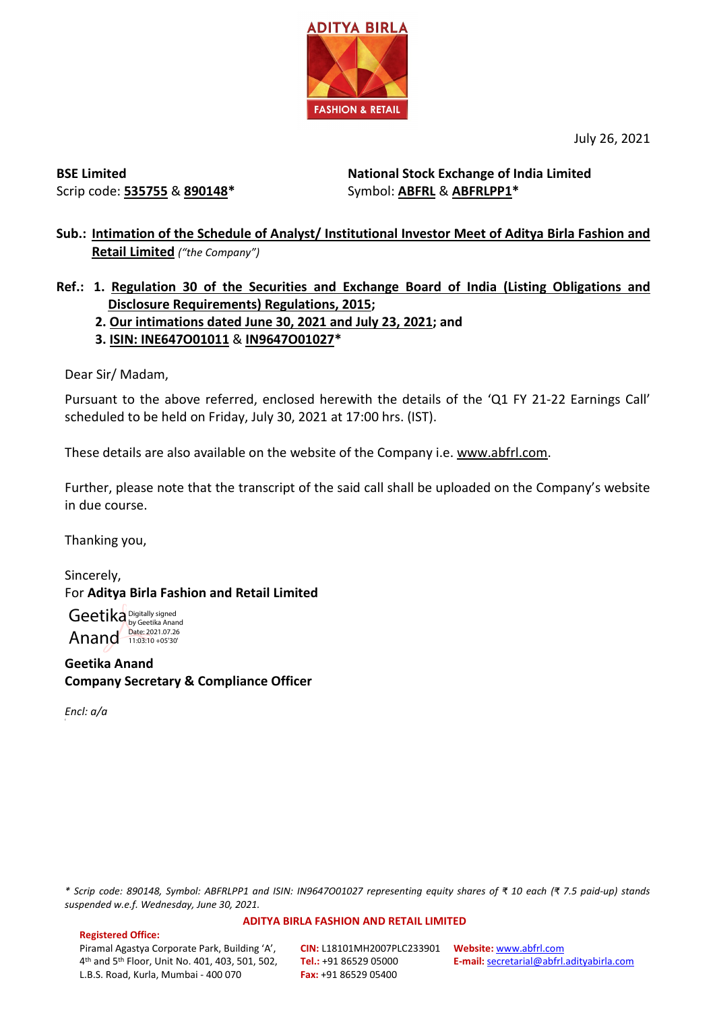

July 26, 2021

**BSE Limited** Scrip code: **535755** & **890148\*** **National Stock Exchange of India Limited**  Symbol: **ABFRL** & **ABFRLPP1\***

- **Sub.: Intimation of the Schedule of Analyst/ Institutional Investor Meet of Aditya Birla Fashion and Retail Limited** *("the Company")*
- **Ref.: 1. Regulation 30 of the Securities and Exchange Board of India (Listing Obligations and Disclosure Requirements) Regulations, 2015;**
	- **2. Our intimations dated June 30, 2021 and July 23, 2021; and**
	- **3. ISIN: INE647O01011** & **IN9647O01027\***

Dear Sir/ Madam,

Pursuant to the above referred, enclosed herewith the details of the 'Q1 FY 21-22 Earnings Call' scheduled to be held on Friday, July 30, 2021 at 17:00 hrs. (IST).

These details are also available on the website of the Company i.e. [www.abfrl.com.](http://www.abfrl.com/)

Further, please note that the transcript of the said call shall be uploaded on the Company's website in due course.

Thanking you,

Sincerely, For **Aditya Birla Fashion and Retail Limited**

Geetika Digitally signed Anand Date: 2021.07.26

**Geetika Anand Company Secretary & Compliance Officer**

*Encl: a/a*

*\* Scrip code: 890148, Symbol: ABFRLPP1 and ISIN: IN9647O01027 representing equity shares of ₹ 10 each (₹ 7.5 paid-up) stands suspended w.e.f. Wednesday, June 30, 2021.*

#### **ADITYA BIRLA FASHION AND RETAIL LIMITED**

**Registered Office:**  Piramal Agastya Corporate Park, Building 'A', 4th and 5th Floor, Unit No. 401, 403, 501, 502, L.B.S. Road, Kurla, Mumbai - 400 070

**CIN:** L18101MH2007PLC233901 **Website:** [www.abfrl.com](http://www.abfrl.com/) **Tel.:** +91 86529 05000 **Fax:** +91 86529 05400